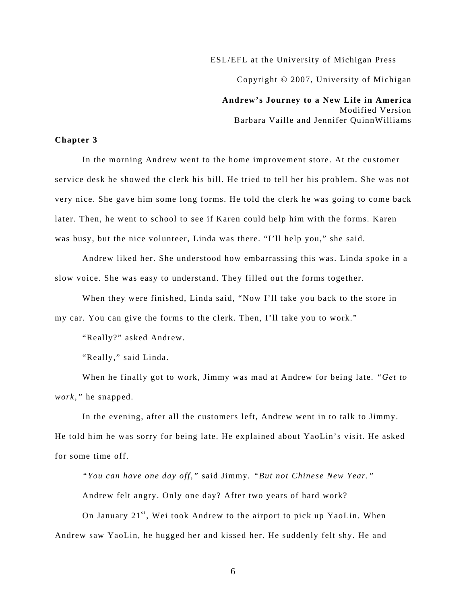ESL/EFL at the University of Michigan Press

Copyright © 2007, University of Michigan

**Andrew's Journey to a New Life in America**  Modified Version Barbara Vaille and Jennifer QuinnWilliams

## **Chapter 3**

In the morning Andrew went to the home improvement store. At the customer service desk he showed the clerk his bill. He tried to tell her his problem. She was not very nice. She gave him some long forms. He told the clerk he was going to come back later. Then, he went to school to see if Karen could help him with the forms. Karen was busy, but the nice volunteer, Linda was there. "I'll help you," she said.

Andrew liked her. She understood how embarrassing this was. Linda spoke in a slow voice. She was easy to understand. They filled out the forms together.

When they were finished, Linda said, "Now I'll take you back to the store in my car. You can give the forms to the clerk. Then, I'll take you to work."

"Really?" asked Andrew.

"Really," said Linda.

When he finally got to work, Jimmy was mad at Andrew for being late. *"Get to work,"* he snapped.

In the evening, after all the customers left, Andrew went in to talk to Jimmy. He told him he was sorry for being late. He explained about YaoLin's visit. He asked for some time off.

*"You can have one day off,"* said Jimmy*. "But not Chinese New Year."*  Andrew felt angry. Only one day? After two years of hard work?

On January  $21^{st}$ , Wei took Andrew to the airport to pick up YaoLin. When Andrew saw YaoLin, he hugged her and kissed her. He suddenly felt shy. He and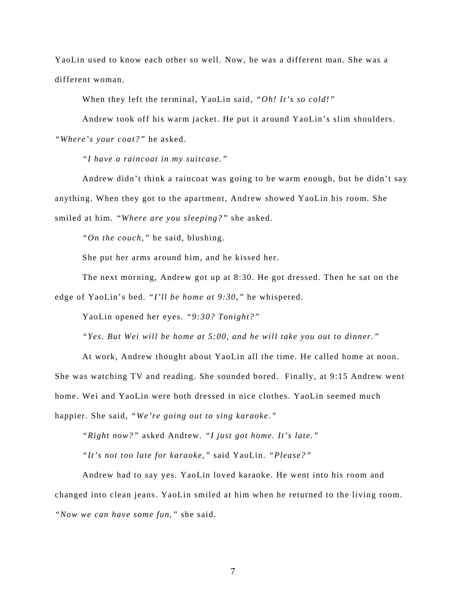YaoLin used to know each other so well. Now, he was a different man. She was a different woman.

When they left the terminal, YaoLin said, *"Oh! It's so cold!"* 

Andrew took off his warm jacket. He put it around YaoLin's slim shoulders.

*"Where's your coat?"* he asked.

*"I have a raincoat in my suitcase."* 

Andrew didn't think a raincoat was going to be warm enough, but he didn't say anything. When they got to the apartment, Andrew showed YaoLin his room. She smiled at him. *"Where are you sleeping?"* she asked.

*"On the couch,"* he said, blushing.

She put her arms around him, and he kissed her.

The next morning, Andrew got up at 8:30. He got dressed. Then he sat on the edge of YaoLin's bed. *"I'll be home at 9:30,"* he whispered.

YaoLin opened her eyes. *"9:30? Tonight?"* 

*"Yes. But Wei will be home at 5:00, and he will take you out to dinner."* 

At work, Andrew thought about YaoLin all the time. He called home at noon. She was watching TV and reading. She sounded bored. Finally, at 9:15 Andrew went home. Wei and YaoLin were both dressed in nice clothes. YaoLin seemed much happier. She said, *"We're going out to sing karaoke."* 

*"Right now?"* asked Andrew. *"I just got home. It's late."* 

*"It's not too late for karaoke,"* said YaoLin. *"Please?"* 

Andrew had to say yes. YaoLin loved karaoke. He went into his room and changed into clean jeans. YaoLin smiled at him when he returned to the living room. *"Now we can have some fun,"* she said.